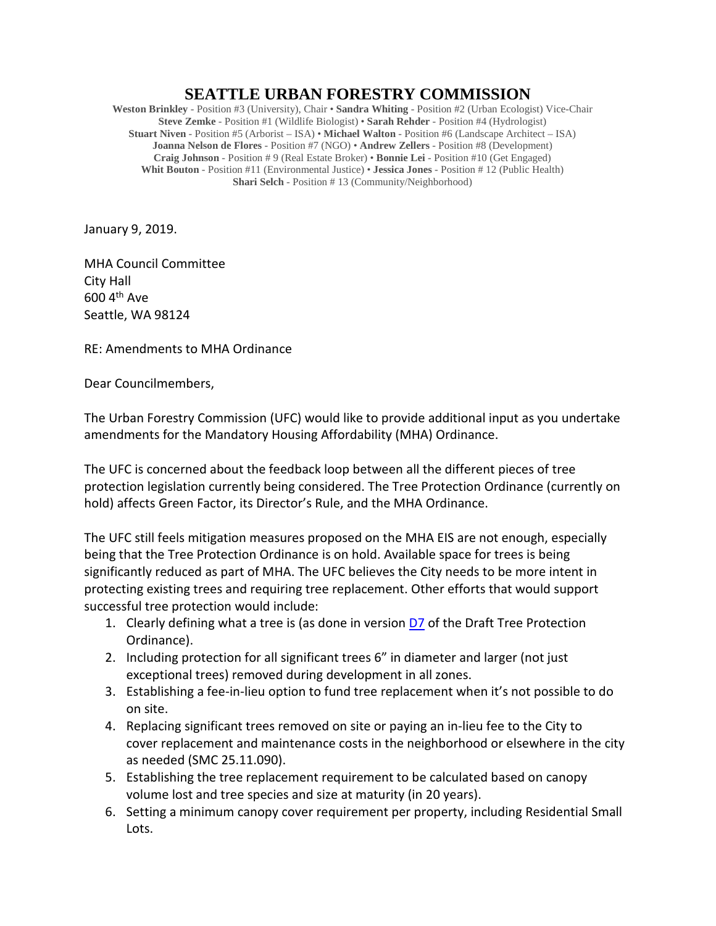## **SEATTLE URBAN FORESTRY COMMISSION**

**Weston Brinkley** - Position #3 (University), Chair • **Sandra Whiting** - Position #2 (Urban Ecologist) Vice-Chair **Steve Zemke** - Position #1 (Wildlife Biologist) • **Sarah Rehder** - Position #4 (Hydrologist) **Stuart Niven** - Position #5 (Arborist – ISA) • **Michael Walton** - Position #6 (Landscape Architect – ISA) **Joanna Nelson de Flores** - Position #7 (NGO) • **Andrew Zellers** - Position #8 (Development) **Craig Johnson** - Position # 9 (Real Estate Broker) • **Bonnie Lei** - Position #10 (Get Engaged) **Whit Bouton** - Position #11 (Environmental Justice) • **Jessica Jones** - Position # 12 (Public Health) **Shari Selch** - Position # 13 (Community/Neighborhood)

January 9, 2019.

MHA Council Committee City Hall 600 4th Ave Seattle, WA 98124

RE: Amendments to MHA Ordinance

Dear Councilmembers,

The Urban Forestry Commission (UFC) would like to provide additional input as you undertake amendments for the Mandatory Housing Affordability (MHA) Ordinance.

The UFC is concerned about the feedback loop between all the different pieces of tree protection legislation currently being considered. The Tree Protection Ordinance (currently on hold) affects Green Factor, its Director's Rule, and the MHA Ordinance.

The UFC still feels mitigation measures proposed on the MHA EIS are not enough, especially being that the Tree Protection Ordinance is on hold. Available space for trees is being significantly reduced as part of MHA. The UFC believes the City needs to be more intent in protecting existing trees and requiring tree replacement. Other efforts that would support successful tree protection would include:

- 1. Clearly defining what a tree is (as done in version  $D7$  of the Draft Tree Protection Ordinance).
- 2. Including protection for all significant trees 6" in diameter and larger (not just exceptional trees) removed during development in all zones.
- 3. Establishing a fee-in-lieu option to fund tree replacement when it's not possible to do on site.
- 4. Replacing significant trees removed on site or paying an in-lieu fee to the City to cover replacement and maintenance costs in the neighborhood or elsewhere in the city as needed (SMC 25.11.090).
- 5. Establishing the tree replacement requirement to be calculated based on canopy volume lost and tree species and size at maturity (in 20 years).
- 6. Setting a minimum canopy cover requirement per property, including Residential Small Lots.